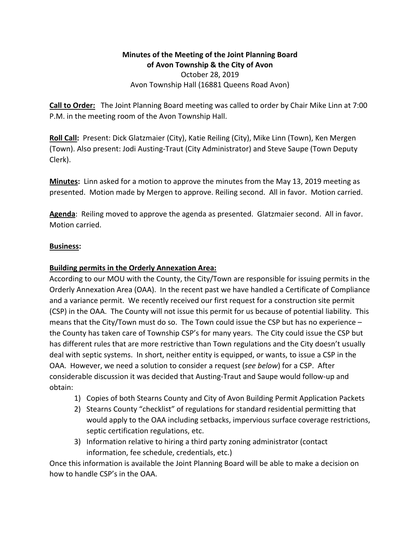# **Minutes of the Meeting of the Joint Planning Board** of Avon Township & the City of Avon October 28, 2019 Avon Township Hall (16881 Queens Road Avon)

**Call to Order:** The Joint Planning Board meeting was called to order by Chair Mike Linn at 7:00 P.M. in the meeting room of the Avon Township Hall.

**Roll Call:** Present: Dick Glatzmaier (City), Katie Reiling (City), Mike Linn (Town), Ken Mergen (Town). Also present: Jodi Austing-Traut (City Administrator) and Steve Saupe (Town Deputy Clerk).

**Minutes:** Linn asked for a motion to approve the minutes from the May 13, 2019 meeting as presented. Motion made by Mergen to approve. Reiling second. All in favor. Motion carried.

**Agenda**: Reiling moved to approve the agenda as presented. Glatzmaier second. All in favor. Motion carried.

## **Business:**

## **Building permits in the Orderly Annexation Area:**

According to our MOU with the County, the City/Town are responsible for issuing permits in the Orderly Annexation Area (OAA). In the recent past we have handled a Certificate of Compliance and a variance permit. We recently received our first request for a construction site permit (CSP) in the OAA. The County will not issue this permit for us because of potential liability. This means that the City/Town must do so. The Town could issue the CSP but has no experience  $$ the County has taken care of Township CSP's for many years. The City could issue the CSP but has different rules that are more restrictive than Town regulations and the City doesn't usually deal with septic systems. In short, neither entity is equipped, or wants, to issue a CSP in the OAA. However, we need a solution to consider a request (see below) for a CSP. After considerable discussion it was decided that Austing-Traut and Saupe would follow-up and obtain:

- 1) Copies of both Stearns County and City of Avon Building Permit Application Packets
- 2) Stearns County "checklist" of regulations for standard residential permitting that would apply to the OAA including setbacks, impervious surface coverage restrictions, septic certification regulations, etc.
- 3) Information relative to hiring a third party zoning administrator (contact information, fee schedule, credentials, etc.)

Once this information is available the Joint Planning Board will be able to make a decision on how to handle CSP's in the OAA.